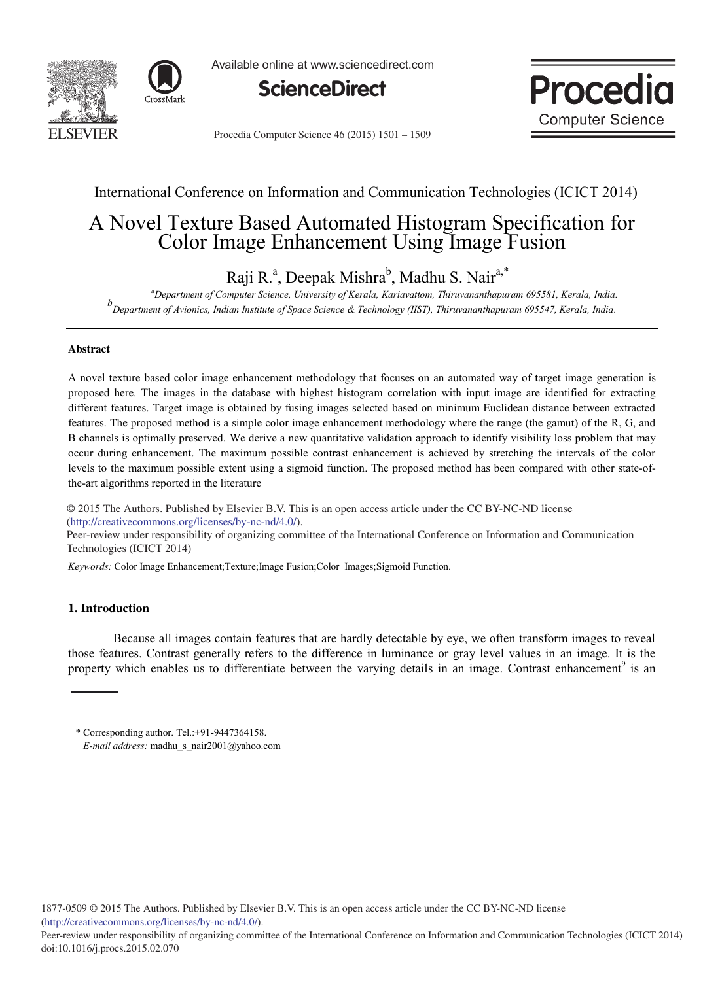



Available online at www.sciencedirect.com



Procedia Computer Science 46 (2015) 1501 - 1509



# International Conference on Information and Communication Technologies (ICICT 2014)

# A Novel Texture Based Automated Histogram Specification for Color Image Enhancement Using Image Fusion

Raji R.<sup>a</sup>, Deepak Mishra<sup>b</sup>, Madhu S. Nair<sup>a,\*</sup>

\* *b Department of Avionics, Indian Institute of Space Science & Technology (IIST), Thiruvananthapuram 695547, Kerala, India. <sup>a</sup>Department of Computer Science, University of Kerala, Kariavattom, Thiruvananthapuram 695581, Kerala, India.*

#### **Abstract**

A novel texture based color image enhancement methodology that focuses on an automated way of target image generation is proposed here. The images in the database with highest histogram correlation with input image are identified for extracting different features. Target image is obtained by fusing images selected based on minimum Euclidean distance between extracted features. The proposed method is a simple color image enhancement methodology where the range (the gamut) of the R, G, and B channels is optimally preserved. We derive a new quantitative validation approach to identify visibility loss problem that may occur during enhancement. The maximum possible contrast enhancement is achieved by stretching the intervals of the color levels to the maximum possible extent using a sigmoid function. The proposed method has been compared with other state-ofthe-art algorithms reported in the literature

© 2014 The Authors. Published by Elsevier B.V. © 2015 The Authors. Published by Elsevier B.V. This is an open access article under the CC BY-NC-ND license Performance of organizing commons.org/incenses/by-nc-na/4.0/). (http://creativecommons.org/licenses/by-nc-nd/4.0/).

Peer-review under responsibility of organizing committee of the International Conference on Information and Communication Technologies (ICICT 2014)

*Keywords:* Color Image Enhancement;Texture;Image Fusion;Color Images;Sigmoid Function.

# **1. Introduction**

Because all images contain features that are hardly detectable by eye, we often transform images to reveal those features. Contrast generally refers to the difference in luminance or gray level values in an image. It is the property which enables us to differentiate between the varying details in an image. Contrast enhancement<sup>9</sup> is an

<sup>\*</sup> Corresponding author. Tel.:+91-9447364158. *E-mail address:* madhu\_s\_nair2001@yahoo.com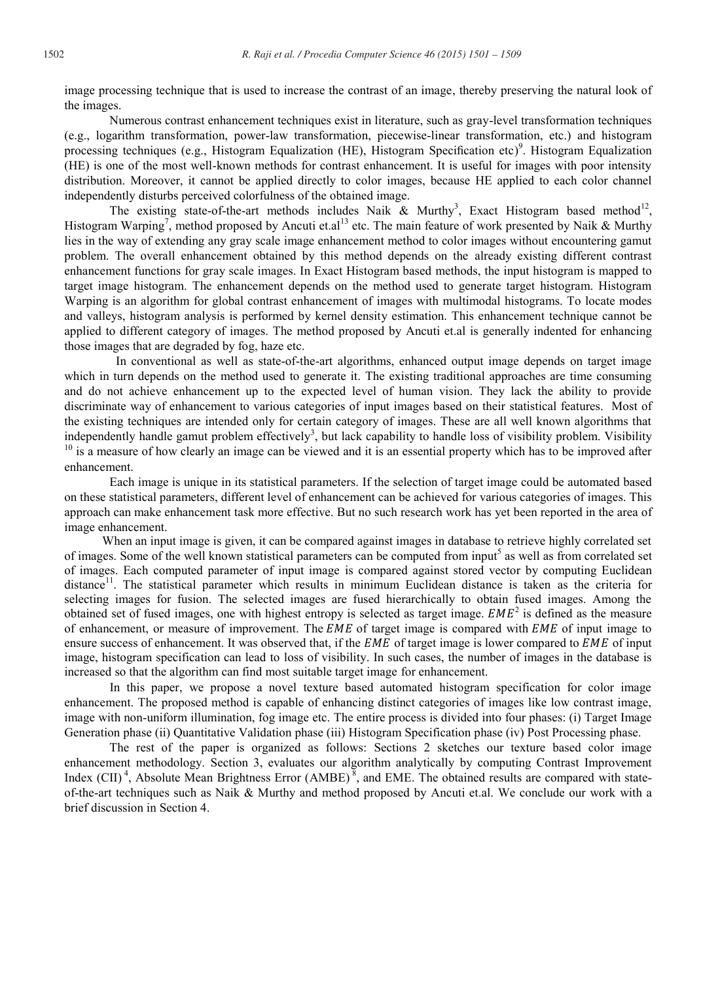image processing technique that is used to increase the contrast of an image, thereby preserving the natural look of the images.

Numerous contrast enhancement techniques exist in literature, such as gray-level transformation techniques (e.g., logarithm transformation, power-law transformation, piecewise-linear transformation, etc.) and histogram processing techniques (e.g., Histogram Equalization (HE), Histogram Specification etc)<sup>9</sup>. Histogram Equalization (HE) is one of the most well-known methods for contrast enhancement. It is useful for images with poor intensity distribution. Moreover, it cannot be applied directly to color images, because HE applied to each color channel independently disturbs perceived colorfulness of the obtained image.

The existing state-of-the-art methods includes Naik & Murthy<sup>3</sup>, Exact Histogram based method<sup>12</sup>, Histogram Warping<sup>7</sup>, method proposed by Ancuti et.al<sup>13</sup> etc. The main feature of work presented by Naik & Murthy lies in the way of extending any gray scale image enhancement method to color images without encountering gamut problem. The overall enhancement obtained by this method depends on the already existing different contrast enhancement functions for gray scale images. In Exact Histogram based methods, the input histogram is mapped to target image histogram. The enhancement depends on the method used to generate target histogram. Histogram Warping is an algorithm for global contrast enhancement of images with multimodal histograms. To locate modes and valleys, histogram analysis is performed by kernel density estimation. This enhancement technique cannot be applied to different category of images. The method proposed by Ancuti et.al is generally indented for enhancing those images that are degraded by fog, haze etc.

 In conventional as well as state-of-the-art algorithms, enhanced output image depends on target image which in turn depends on the method used to generate it. The existing traditional approaches are time consuming and do not achieve enhancement up to the expected level of human vision. They lack the ability to provide discriminate way of enhancement to various categories of input images based on their statistical features. Most of the existing techniques are intended only for certain category of images. These are all well known algorithms that independently handle gamut problem effectively<sup>3</sup>, but lack capability to handle loss of visibility problem. Visibility  $10$  is a measure of how clearly an image can be viewed and it is an essential property which has to be improved after enhancement.

 Each image is unique in its statistical parameters. If the selection of target image could be automated based on these statistical parameters, different level of enhancement can be achieved for various categories of images. This approach can make enhancement task more effective. But no such research work has yet been reported in the area of image enhancement.

 When an input image is given, it can be compared against images in database to retrieve highly correlated set of images. Some of the well known statistical parameters can be computed from input<sup>5</sup> as well as from correlated set of images. Each computed parameter of input image is compared against stored vector by computing Euclidean distance<sup>11</sup>. The statistical parameter which results in minimum Euclidean distance is taken as the criteria for selecting images for fusion. The selected images are fused hierarchically to obtain fused images. Among the obtained set of fused images, one with highest entropy is selected as target image.  $EME<sup>2</sup>$  is defined as the measure of enhancement, or measure of improvement. The EME of target image is compared with EME of input image to ensure success of enhancement. It was observed that, if the EME of target image is lower compared to EME of input image, histogram specification can lead to loss of visibility. In such cases, the number of images in the database is increased so that the algorithm can find most suitable target image for enhancement.

In this paper, we propose a novel texture based automated histogram specification for color image enhancement. The proposed method is capable of enhancing distinct categories of images like low contrast image, image with non-uniform illumination, fog image etc. The entire process is divided into four phases: (i) Target Image Generation phase (ii) Quantitative Validation phase (iii) Histogram Specification phase (iv) Post Processing phase.

The rest of the paper is organized as follows: Sections 2 sketches our texture based color image enhancement methodology. Section 3, evaluates our algorithm analytically by computing Contrast Improvement Index (CII)<sup>4</sup>, Absolute Mean Brightness Error (AMBE)<sup>8</sup>, and EME. The obtained results are compared with stateof-the-art techniques such as Naik & Murthy and method proposed by Ancuti et.al. We conclude our work with a brief discussion in Section 4.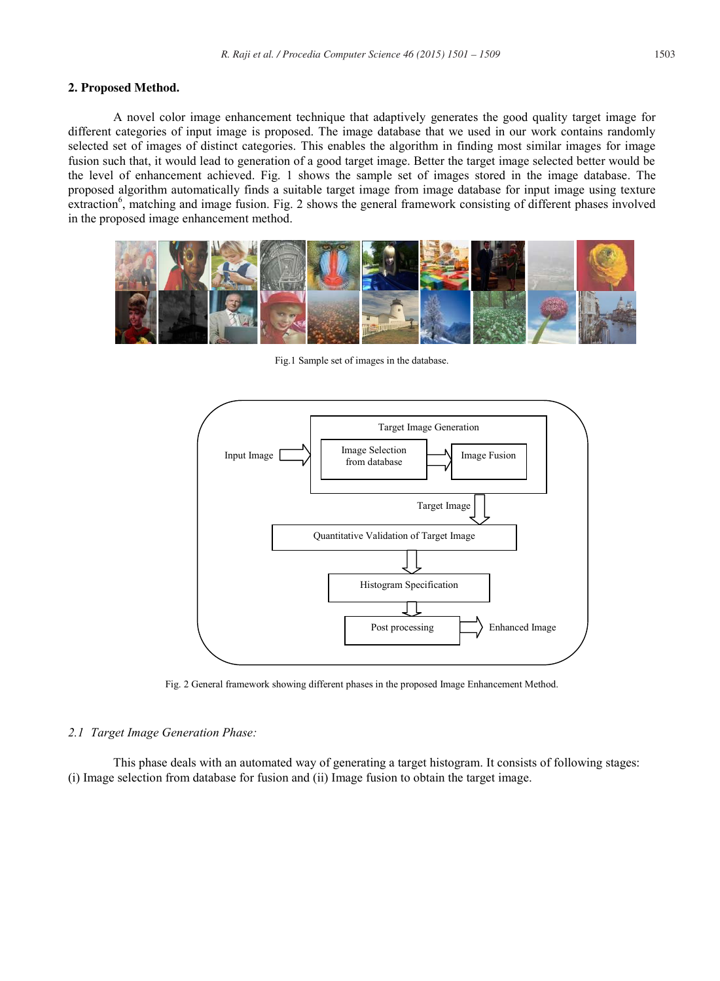#### **2. Proposed Method.**

A novel color image enhancement technique that adaptively generates the good quality target image for different categories of input image is proposed. The image database that we used in our work contains randomly selected set of images of distinct categories. This enables the algorithm in finding most similar images for image fusion such that, it would lead to generation of a good target image. Better the target image selected better would be the level of enhancement achieved. Fig. 1 shows the sample set of images stored in the image database. The proposed algorithm automatically finds a suitable target image from image database for input image using texture extraction<sup>6</sup>, matching and image fusion. Fig. 2 shows the general framework consisting of different phases involved in the proposed image enhancement method.



Fig.1 Sample set of images in the database.



Fig. 2 General framework showing different phases in the proposed Image Enhancement Method.

#### *2.1 Target Image Generation Phase:*

This phase deals with an automated way of generating a target histogram. It consists of following stages: (i) Image selection from database for fusion and (ii) Image fusion to obtain the target image.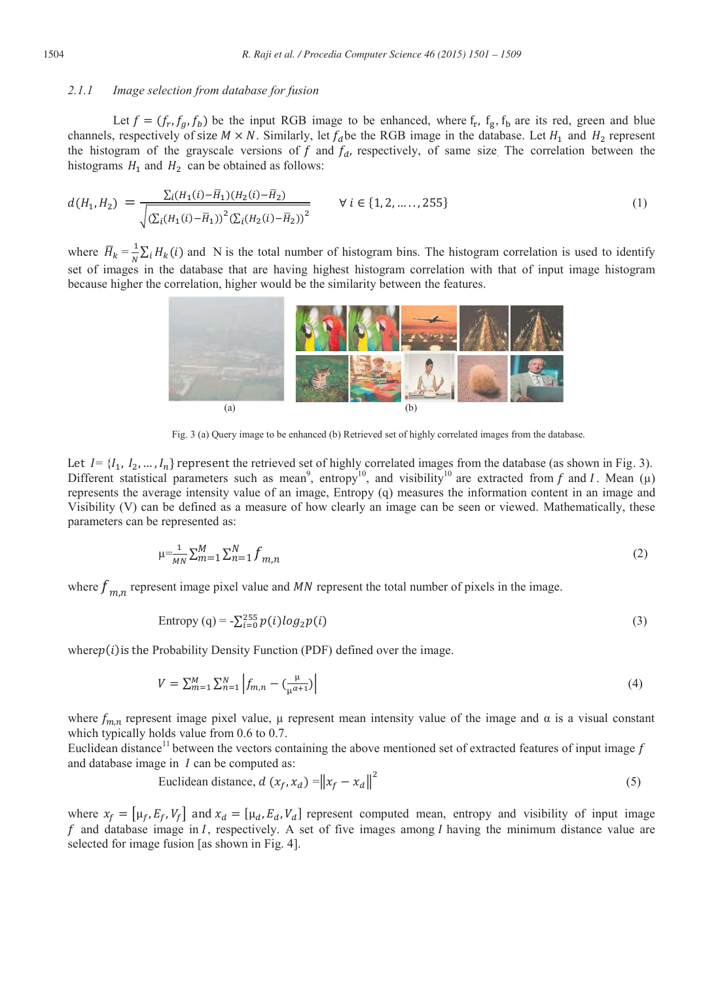## *2.1.1 Image selection from database for fusion*

Let  $f = (f_r, f_g, f_b)$  be the input RGB image to be enhanced, where  $f_r$ ,  $f_g$ ,  $f_b$  are its red, green and blue channels, respectively of size  $M \times N$ . Similarly, let  $f_d$  be the RGB image in the database. Let  $H_1$  and  $H_2$  represent the histogram of the grayscale versions of  $f$  and  $f_d$ , respectively, of same size. The correlation between the histograms  $H_1$  and  $H_2$  can be obtained as follows:

$$
d(H_1, H_2) = \frac{\sum_i (H_1(i) - \overline{H}_1)(H_2(i) - \overline{H}_2)}{\sqrt{(\sum_i (H_1(i) - \overline{H}_1))^2 (\sum_i (H_2(i) - \overline{H}_2))^2}} \qquad \forall i \in \{1, 2, \dots, 255\}
$$
\n
$$
(1)
$$

where  $\overline{H}_k = \frac{1}{N} \sum_i H_k(i)$  and N is the total number of histogram bins. The histogram correlation is used to identify set of images in the database that are having highest histogram correlation with that of input image histogram because higher the correlation, higher would be the similarity between the features.



Fig. 3 (a) Query image to be enhanced (b) Retrieved set of highly correlated images from the database.

Let  $I = \{I_1, I_2, ..., I_n\}$  represent the retrieved set of highly correlated images from the database (as shown in Fig. 3). Different statistical parameters such as mean<sup>9</sup>, entropy<sup>10</sup>, and visibility<sup>10</sup> are extracted from f and I. Mean ( $\mu$ ) represents the average intensity value of an image, Entropy (q) measures the information content in an image and Visibility (V) can be defined as a measure of how clearly an image can be seen or viewed. Mathematically, these parameters can be represented as:

$$
\mu = \frac{1}{MN} \sum_{m=1}^{M} \sum_{n=1}^{N} f_{m,n} \tag{2}
$$

where  $f_{mn}$  represent image pixel value and MN represent the total number of pixels in the image.

Entropy (q) = 
$$
-\sum_{i=0}^{255} p(i)log_2 p(i)
$$
 (3)

where $p(i)$  is the Probability Density Function (PDF) defined over the image.

$$
V = \sum_{m=1}^{M} \sum_{n=1}^{N} \left| f_{m,n} - \left( \frac{\mu}{\mu^{\alpha+1}} \right) \right| \tag{4}
$$

where  $f_{m,n}$  represent image pixel value, μ represent mean intensity value of the image and  $\alpha$  is a visual constant which typically holds value from 0.6 to 0.7.

Euclidean distance<sup>11</sup> between the vectors containing the above mentioned set of extracted features of input image  $f$ and database image in  $I$  can be computed as:

Euclidean distance, 
$$
d(x_f, x_d) = ||x_f - x_d||^2
$$
 (5)

where  $x_f = [\mu_f, E_f, V_f]$  and  $x_d = [\mu_d, E_d, V_d]$  represent computed mean, entropy and visibility of input image f and database image in  $I$ , respectively. A set of five images among  $I$  having the minimum distance value are selected for image fusion [as shown in Fig. 4].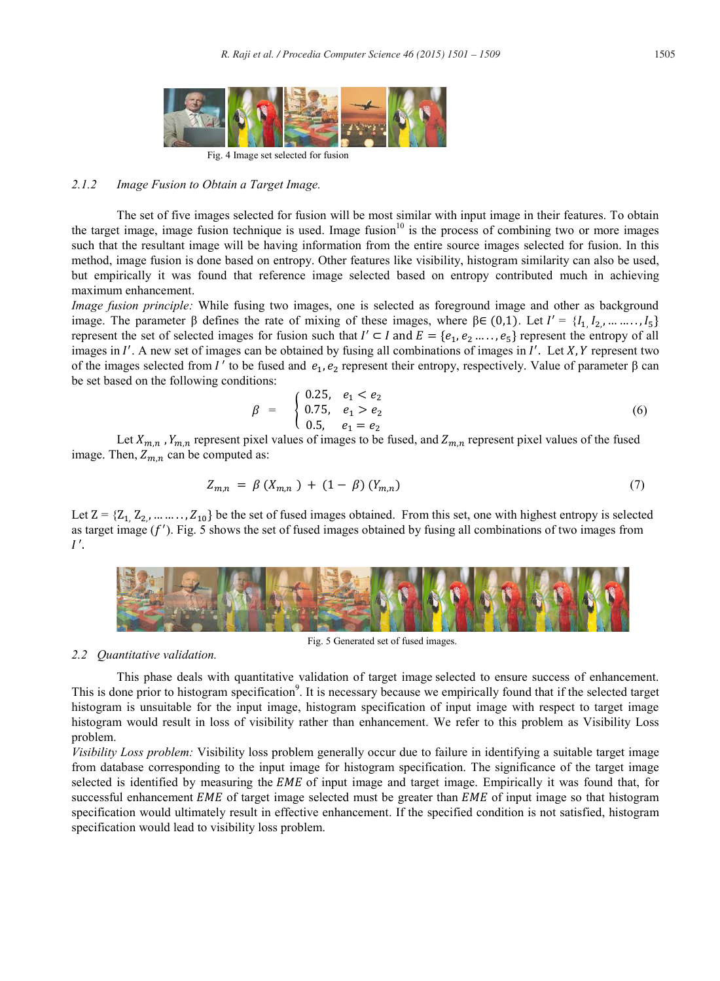

Fig. 4 Image set selected for fusion

## *2.1.2 Image Fusion to Obtain a Target Image.*

The set of five images selected for fusion will be most similar with input image in their features. To obtain the target image, image fusion technique is used. Image fusion $10$  is the process of combining two or more images such that the resultant image will be having information from the entire source images selected for fusion. In this method, image fusion is done based on entropy. Other features like visibility, histogram similarity can also be used, but empirically it was found that reference image selected based on entropy contributed much in achieving maximum enhancement.

*Image fusion principle:* While fusing two images, one is selected as foreground image and other as background image. The parameter β defines the rate of mixing of these images, where  $β ∈ (0,1)$ . Let  $I' = \{I_1, I_2, \dots, I_5\}$ represent the set of selected images for fusion such that  $I' \subset I$  and  $E = \{e_1, e_2, \dots, e_5\}$  represent the entropy of all images in  $I'$ . A new set of images can be obtained by fusing all combinations of images in  $I'$ . Let  $X, Y$  represent two of the images selected from I' to be fused and  $e_1$ ,  $e_2$  represent their entropy, respectively. Value of parameter  $\beta$  can be set based on the following conditions:

$$
\beta = \begin{cases}\n0.25, & e_1 < e_2 \\
0.75, & e_1 > e_2 \\
0.5, & e_1 = e_2\n\end{cases}
$$
\n(6)

Let  $X_{m,n}$ ,  $Y_{m,n}$  represent pixel values of images to be fused, and  $Z_{m,n}$  represent pixel values of the fused image. Then,  $Z_{m,n}$  can be computed as:

$$
Z_{m,n} = \beta \left( X_{m,n} \right) + (1 - \beta) \left( Y_{m,n} \right) \tag{7}
$$

Let  $Z = \{Z_1, Z_2, \dots, Z_{10}\}$  be the set of fused images obtained. From this set, one with highest entropy is selected as target image  $(f')$ . Fig. 5 shows the set of fused images obtained by fusing all combinations of two images from  $I^{\prime}$ .



Fig. 5 Generated set of fused images.

#### *2.2 Quantitative validation.*

This phase deals with quantitative validation of target image selected to ensure success of enhancement. This is done prior to histogram specification<sup>9</sup>. It is necessary because we empirically found that if the selected target histogram is unsuitable for the input image, histogram specification of input image with respect to target image histogram would result in loss of visibility rather than enhancement. We refer to this problem as Visibility Loss problem.

*Visibility Loss problem:* Visibility loss problem generally occur due to failure in identifying a suitable target image from database corresponding to the input image for histogram specification. The significance of the target image selected is identified by measuring the  $EME$  of input image and target image. Empirically it was found that, for successful enhancement *EME* of target image selected must be greater than *EME* of input image so that histogram specification would ultimately result in effective enhancement. If the specified condition is not satisfied, histogram specification would lead to visibility loss problem.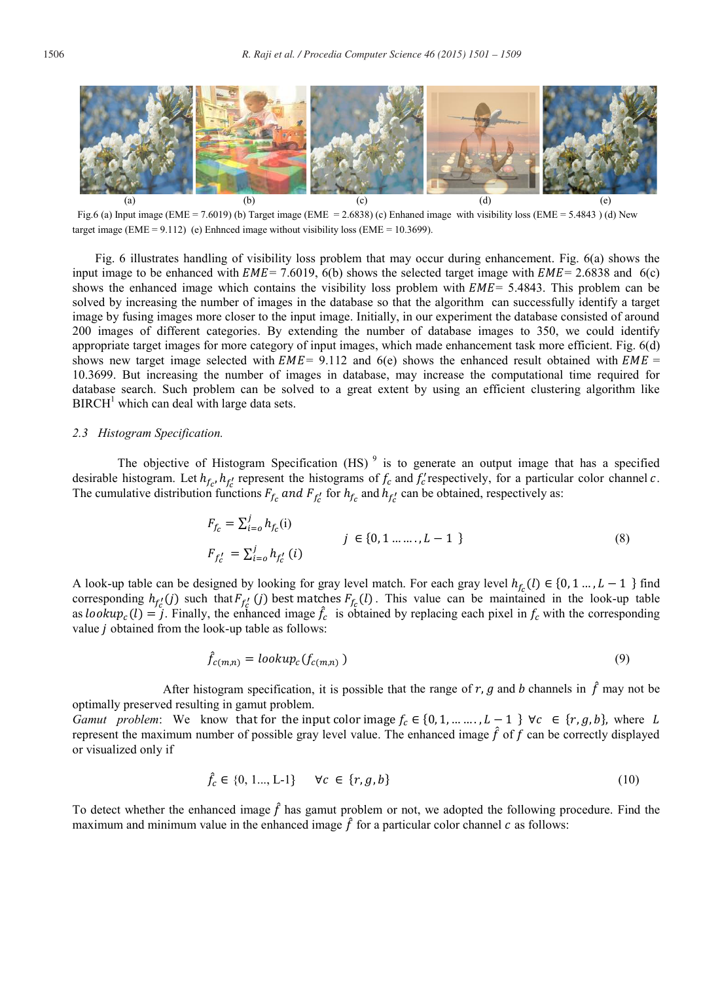

Fig.6 (a) Input image (EME = 7.6019) (b) Target image (EME = 2.6838) (c) Enhaned image with visibility loss (EME = 5.4843 ) (d) New target image (EME =  $9.112$ ) (e) Enhnced image without visibility loss (EME =  $10.3699$ ).

 Fig. 6 illustrates handling of visibility loss problem that may occur during enhancement. Fig. 6(a) shows the input image to be enhanced with  $EME = 7.6019$ , 6(b) shows the selected target image with  $EME = 2.6838$  and 6(c) shows the enhanced image which contains the visibility loss problem with  $EME = 5.4843$ . This problem can be solved by increasing the number of images in the database so that the algorithm can successfully identify a target image by fusing images more closer to the input image. Initially, in our experiment the database consisted of around 200 images of different categories. By extending the number of database images to 350, we could identify appropriate target images for more category of input images, which made enhancement task more efficient. Fig. 6(d) shows new target image selected with  $EME = 9.112$  and 6(e) shows the enhanced result obtained with  $EME =$ 10.3699. But increasing the number of images in database, may increase the computational time required for database search. Such problem can be solved to a great extent by using an efficient clustering algorithm like  $BIRCH<sup>1</sup>$  which can deal with large data sets.

#### *2.3 Histogram Specification.*

The objective of Histogram Specification (HS)<sup>9</sup> is to generate an output image that has a specified desirable histogram. Let  $h_{f_c}, h_{f'_c}$  represent the histograms of  $f_c$  and  $f'_c$  respectively, for a particular color channel c. The cumulative distribution functions  $F_{f_c}$  and  $F_{f'_c}$  for  $h_{f_c}$  and  $h_{f'_c}$  can be obtained, respectively as:

$$
F_{fc} = \sum_{i=0}^{j} h_{fc}(i)
$$
  
\n
$$
F_{fc} = \sum_{i=0}^{j} h_{fc}(i)
$$
  
\n
$$
j \in \{0, 1, ..., L-1\}
$$
 (8)

A look-up table can be designed by looking for gray level match. For each gray level  $h_{f_c}(l) \in \{0, 1, ..., L-1\}$  find corresponding  $h_{f'_c}(j)$  such that  $F_{f'_c}(j)$  best matches  $F_{f_c}(l)$ . This value can be maintained in the look-up table as looku $p_c(l) = j$ . Finally, the enhanced image  $f_c$  is obtained by replacing each pixel in  $f_c$  with the corresponding value *i* obtained from the look-up table as follows:

$$
\hat{f}_{c(m,n)} = \text{lookup}_{c}(f_{c(m,n)})
$$
\n(9)

After histogram specification, it is possible that the range of r, q and b channels in  $\hat{f}$  may not be optimally preserved resulting in gamut problem.

*Gamut problem*: We know that for the input color image  $f_c \in \{0, 1, \ldots, L-1\}$   $\forall c \in \{r, g, b\}$ , where L represent the maximum number of possible gray level value. The enhanced image  $\hat{f}$  of  $f$  can be correctly displayed or visualized only if

$$
\hat{f}_c \in \{0, 1..., L-1\} \quad \forall c \in \{r, g, b\} \tag{10}
$$

To detect whether the enhanced image  $\hat{f}$  has gamut problem or not, we adopted the following procedure. Find the maximum and minimum value in the enhanced image  $\hat{f}$  for a particular color channel c as follows: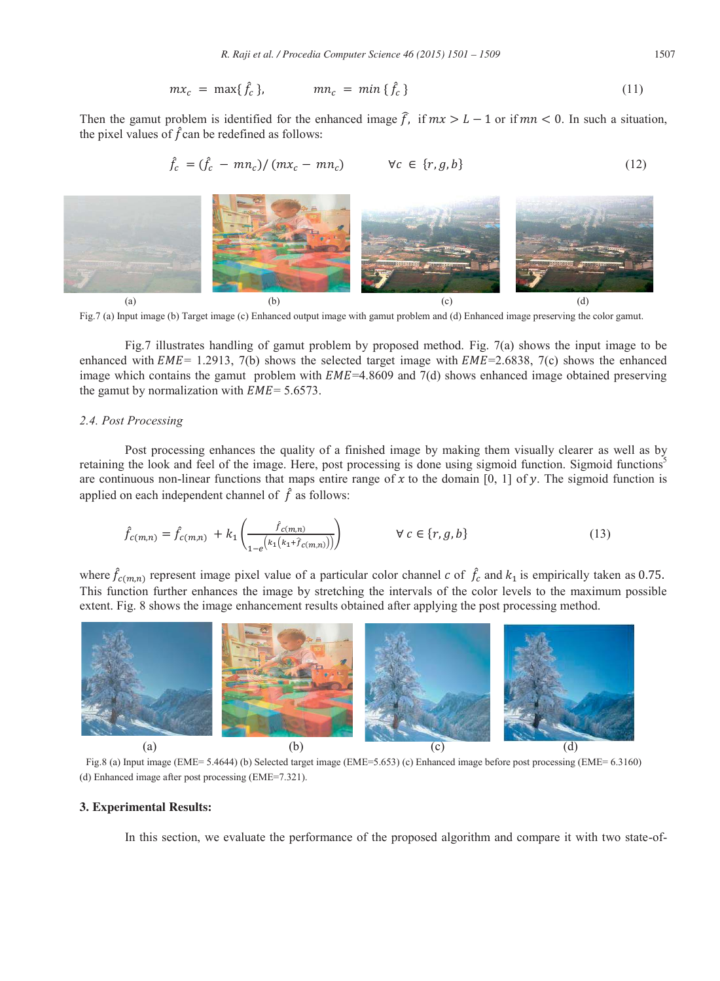$$
mx_c = \max\{f_c\}, \qquad mn_c = \min\{f_c\} \tag{11}
$$

Then the gamut problem is identified for the enhanced image  $\hat{f}$ , if  $mx > L - 1$  or if  $mn < 0$ . In such a situation, the pixel values of  $\hat{f}$ can be redefined as follows:

$$
\hat{f}_c = (\hat{f}_c - mn_c) / (mx_c - mn_c) \qquad \forall c \in \{r, g, b\}
$$
\n(12)



Fig.7 (a) Input image (b) Target image (c) Enhanced output image with gamut problem and (d) Enhanced image preserving the color gamut.

Fig.7 illustrates handling of gamut problem by proposed method. Fig. 7(a) shows the input image to be enhanced with  $EME = 1.2913$ , 7(b) shows the selected target image with  $EME = 2.6838$ , 7(c) shows the enhanced image which contains the gamut problem with  $EME=4.8609$  and 7(d) shows enhanced image obtained preserving the gamut by normalization with  $EME = 5.6573$ .

## *2.4. Post Processing*

Post processing enhances the quality of a finished image by making them visually clearer as well as by retaining the look and feel of the image. Here, post processing is done using sigmoid function. Sigmoid functions<sup>5</sup> are continuous non-linear functions that maps entire range of x to the domain [0, 1] of y. The sigmoid function is applied on each independent channel of  $\hat{f}$  as follows:

$$
\hat{f}_{c(m,n)} = \hat{f}_{c(m,n)} + k_1 \left( \frac{\hat{f}_{c(m,n)}}{1 - e^{\left(k_1 \left(k_1 + \hat{f}_{c(m,n)}\right)\right)}} \right) \qquad \forall c \in \{r, g, b\} \tag{13}
$$

where  $f_{c(m,n)}$  represent image pixel value of a particular color channel c of  $f_c$  and  $k_1$  is empirically taken as 0.75. This function further enhances the image by stretching the intervals of the color levels to the maximum possible extent. Fig. 8 shows the image enhancement results obtained after applying the post processing method.



 Fig.8 (a) Input image (EME= 5.4644) (b) Selected target image (EME=5.653) (c) Enhanced image before post processing (EME= 6.3160) (d) Enhanced image after post processing (EME=7.321).

#### **3. Experimental Results:**

In this section, we evaluate the performance of the proposed algorithm and compare it with two state-of-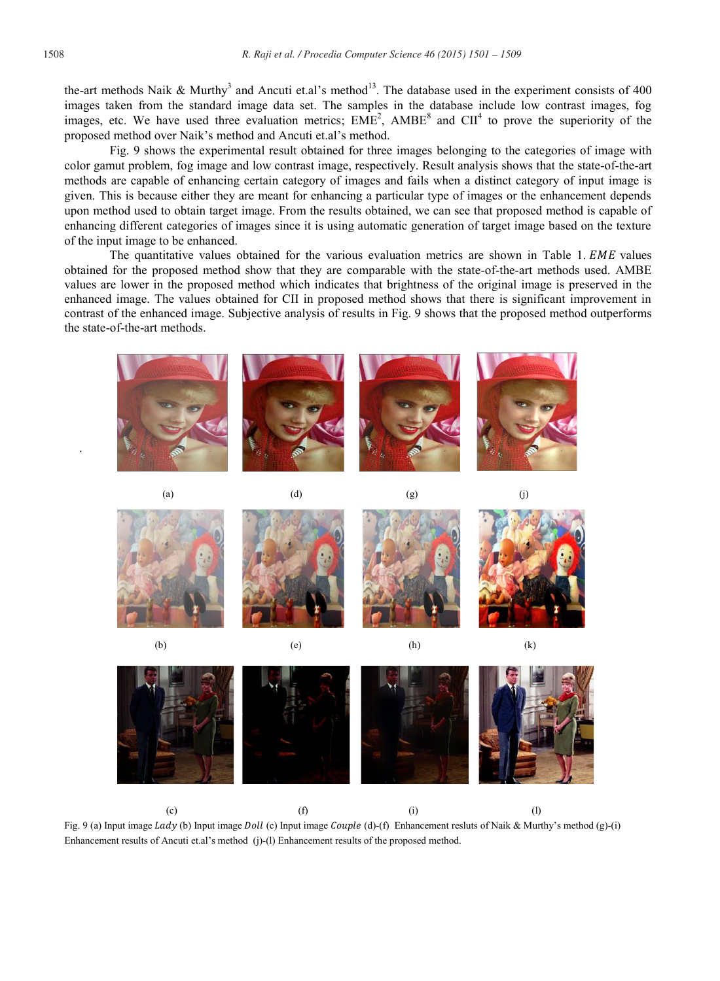the-art methods Naik & Murthy<sup>3</sup> and Ancuti et.al's method<sup>13</sup>. The database used in the experiment consists of 400 images taken from the standard image data set. The samples in the database include low contrast images, fog images, etc. We have used three evaluation metrics;  $EME<sup>2</sup>$ ,  $AMBE<sup>8</sup>$  and  $CH<sup>4</sup>$  to prove the superiority of the proposed method over Naik's method and Ancuti et.al's method.

 Fig. 9 shows the experimental result obtained for three images belonging to the categories of image with color gamut problem, fog image and low contrast image, respectively. Result analysis shows that the state-of-the-art methods are capable of enhancing certain category of images and fails when a distinct category of input image is given. This is because either they are meant for enhancing a particular type of images or the enhancement depends upon method used to obtain target image. From the results obtained, we can see that proposed method is capable of enhancing different categories of images since it is using automatic generation of target image based on the texture of the input image to be enhanced.

The quantitative values obtained for the various evaluation metrics are shown in Table 1.  $EME$  values obtained for the proposed method show that they are comparable with the state-of-the-art methods used. AMBE values are lower in the proposed method which indicates that brightness of the original image is preserved in the enhanced image. The values obtained for CII in proposed method shows that there is significant improvement in contrast of the enhanced image. Subjective analysis of results in Fig. 9 shows that the proposed method outperforms the state-of-the-art methods.



Fig. 9 (a) Input image Lady (b) Input image Doll (c) Input image Couple (d)-(f) Enhancement resluts of Naik & Murthy's method (g)-(i) Enhancement results of Ancuti et.al's method (j)-(l) Enhancement results of the proposed method.

(c) (f) (i) (i) (l)

.